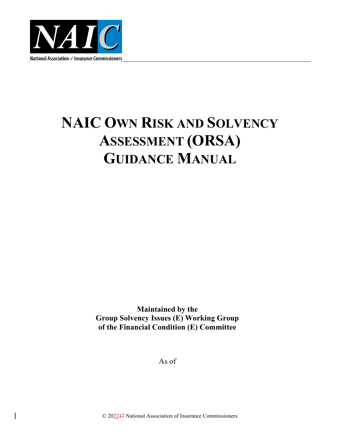

# **NAIC OWN RISK AND SOLVENCY ASSESSMENT (ORSA) GUIDANCE MANUAL**

**Maintained by the Group Solvency Issues (E) Working Group of the Financial Condition (E) Committee** 

As of

© 202217 National Association of Insurance Commissioners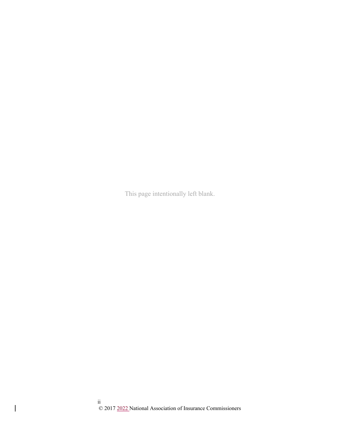This page intentionally left blank.

 $\mathcal{L}$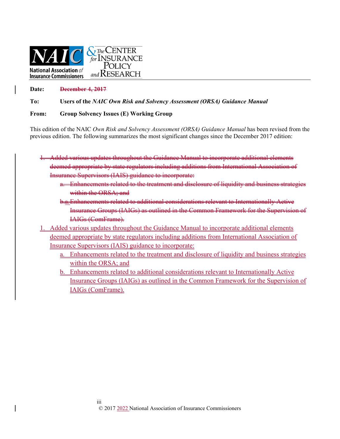

#### **Date: December 4, 2017**

**To: Users of the** *NAIC Own Risk and Solvency Assessment (ORSA) Guidance Manual*

#### **From: Group Solvency Issues (E) Working Group**

This edition of the NAIC *Own Risk and Solvency Assessment (ORSA) Guidance Manual* has been revised from the previous edition. The following summarizes the most significant changes since the December 2017 edition:

1. Added various updates throughout the Guidance Manual to incorporate additional elements deemed appropriate by state regulators including additions from International Association of Insurance Supervisors (IAIS) guidance

- a. Enhancements related to the treatment and disclosure of liquidity and business strategies within the ORSA; and
- b.a.Enhancements related to additional considerations relevant to Internationally Active Insurance Groups (IAIGs) as outlined in the Common Framework for the Supervision of IAIGs (ComFrame).
- 1. Added various updates throughout the Guidance Manual to incorporate additional elements deemed appropriate by state regulators including additions from International Association of Insurance Supervisors (IAIS) guidance to incorporate:
	- a. Enhancements related to the treatment and disclosure of liquidity and business strategies within the ORSA; and
	- b. Enhancements related to additional considerations relevant to Internationally Active Insurance Groups (IAIGs) as outlined in the Common Framework for the Supervision of IAIGs (ComFrame).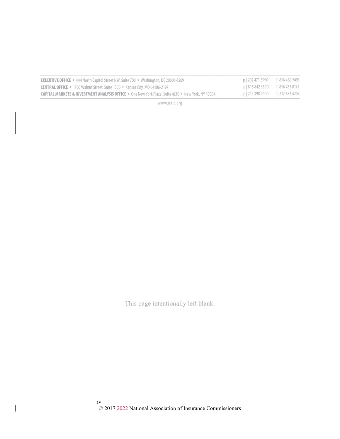| <b>EXECUTIVE OFFICE •</b> 444 North Capitol Street NW, Suite 700 • Washington, DC 20001-1509       | p   202 471 3990 f   816 460 7493 |  |
|----------------------------------------------------------------------------------------------------|-----------------------------------|--|
| <b>CENTRAL OFFICE •</b> 1100 Walnut Street, Suite 1500 • Kansas City, MO 64106-2197                | p   816 842 3600 f   816 783 8175 |  |
| CAPITAL MARKETS & INVESTMENT ANALYSIS OFFICE . One New York Plaza, Suite 4210 . New York, NY 10004 | p   212 398 9000 f   212 382 4207 |  |

www.naic.org

This page intentionally left blank.

 $\overline{\phantom{a}}$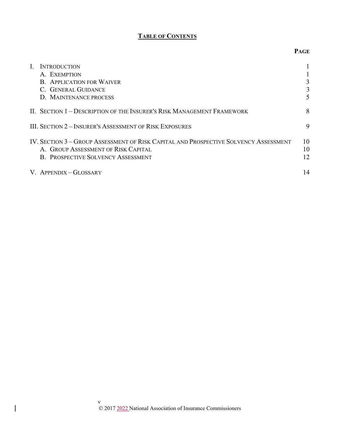#### **TABLE OF CONTENTS**

| L. | <b>INTRODUCTION</b>                                                                  |    |
|----|--------------------------------------------------------------------------------------|----|
|    | A. EXEMPTION                                                                         |    |
|    | <b>B. APPLICATION FOR WAIVER</b>                                                     | 3  |
|    | C. GENERAL GUIDANCE                                                                  | 3  |
|    | D. MAINTENANCE PROCESS                                                               |    |
|    | II. SECTION 1 – DESCRIPTION OF THE INSURER'S RISK MANAGEMENT FRAMEWORK               | 8  |
|    | <b>III. SECTION 2 – INSURER'S ASSESSMENT OF RISK EXPOSURES</b>                       | 9  |
|    | IV. SECTION 3 – GROUP ASSESSMENT OF RISK CAPITAL AND PROSPECTIVE SOLVENCY ASSESSMENT | 10 |
|    | A. GROUP ASSESSMENT OF RISK CAPITAL                                                  | 10 |
|    | <b>B. PROSPECTIVE SOLVENCY ASSESSMENT</b>                                            | 12 |
|    | V. APPENDIX - GLOSSARY                                                               | 14 |

 $\overline{\phantom{a}}$ 

#### **PAGE**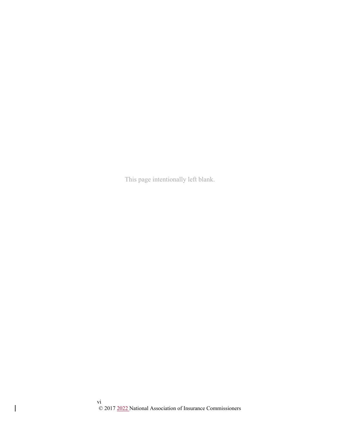This page intentionally left blank.

 $\mathcal{L}$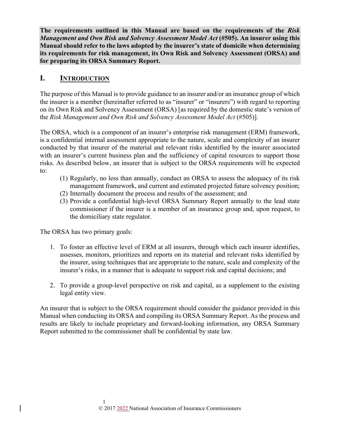**The requirements outlined in this Manual are based on the requirements of the** *Risk Management and Own Risk and Solvency Assessment Model Act* **(#505). An insurer using this Manual should refer to the laws adopted by the insurer's state of domicile when determining its requirements for risk management, its Own Risk and Solvency Assessment (ORSA) and for preparing its ORSA Summary Report.** 

## **I. INTRODUCTION**

The purpose of this Manual is to provide guidance to an insurer and/or an insurance group of which the insurer is a member (hereinafter referred to as "insurer" or "insurers") with regard to reporting on its Own Risk and Solvency Assessment (ORSA) [as required by the domestic state's version of the *Risk Management and Own Risk and Solvency Assessment Model Act* (#505)].

The ORSA, which is a component of an insurer's enterprise risk management (ERM) framework, is a confidential internal assessment appropriate to the nature, scale and complexity of an insurer conducted by that insurer of the material and relevant risks identified by the insurer associated with an insurer's current business plan and the sufficiency of capital resources to support those risks. As described below, an insurer that is subject to the ORSA requirements will be expected to:

- (1) Regularly, no less than annually, conduct an ORSA to assess the adequacy of its risk management framework, and current and estimated projected future solvency position;
- (2) Internally document the process and results of the assessment; and
- (3) Provide a confidential high-level ORSA Summary Report annually to the lead state commissioner if the insurer is a member of an insurance group and, upon request, to the domiciliary state regulator.

The ORSA has two primary goals:

- 1. To foster an effective level of ERM at all insurers, through which each insurer identifies, assesses, monitors, prioritizes and reports on its material and relevant risks identified by the insurer, using techniques that are appropriate to the nature, scale and complexity of the insurer's risks, in a manner that is adequate to support risk and capital decisions; and
- 2. To provide a group-level perspective on risk and capital, as a supplement to the existing legal entity view.

An insurer that is subject to the ORSA requirement should consider the guidance provided in this Manual when conducting its ORSA and compiling its ORSA Summary Report. As the process and results are likely to include proprietary and forward-looking information, any ORSA Summary Report submitted to the commissioner shall be confidential by state law.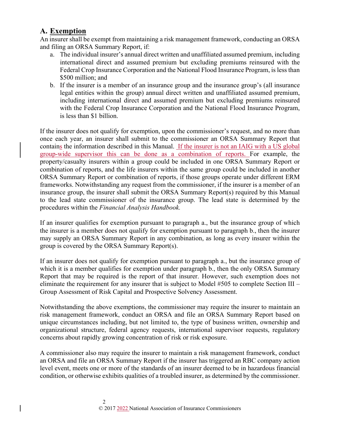# **A. Exemption**

An insurer shall be exempt from maintaining a risk management framework, conducting an ORSA and filing an ORSA Summary Report, if:

- a. The individual insurer's annual direct written and unaffiliated assumed premium, including international direct and assumed premium but excluding premiums reinsured with the Federal Crop Insurance Corporation and the National Flood Insurance Program, is less than \$500 million; and
- b. If the insurer is a member of an insurance group and the insurance group's (all insurance legal entities within the group) annual direct written and unaffiliated assumed premium, including international direct and assumed premium but excluding premiums reinsured with the Federal Crop Insurance Corporation and the National Flood Insurance Program, is less than \$1 billion.

If the insurer does not qualify for exemption, upon the commissioner's request, and no more than once each year, an insurer shall submit to the commissioner an ORSA Summary Report that contains the information described in this Manual. If the insurer is not an IAIG with a US global group-wide supervisor this can be done as a combination of reports. For example, the property/casualty insurers within a group could be included in one ORSA Summary Report or combination of reports, and the life insurers within the same group could be included in another ORSA Summary Report or combination of reports, if those groups operate under different ERM frameworks. Notwithstanding any request from the commissioner, if the insurer is a member of an insurance group, the insurer shall submit the ORSA Summary Report(s) required by this Manual to the lead state commissioner of the insurance group. The lead state is determined by the procedures within the *Financial Analysis Handbook.* 

If an insurer qualifies for exemption pursuant to paragraph a., but the insurance group of which the insurer is a member does not qualify for exemption pursuant to paragraph b., then the insurer may supply an ORSA Summary Report in any combination, as long as every insurer within the group is covered by the ORSA Summary Report(s).

If an insurer does not qualify for exemption pursuant to paragraph a., but the insurance group of which it is a member qualifies for exemption under paragraph b., then the only ORSA Summary Report that may be required is the report of that insurer. However, such exemption does not eliminate the requirement for any insurer that is subject to Model #505 to complete Section III – Group Assessment of Risk Capital and Prospective Solvency Assessment.

Notwithstanding the above exemptions, the commissioner may require the insurer to maintain an risk management framework, conduct an ORSA and file an ORSA Summary Report based on unique circumstances including, but not limited to, the type of business written, ownership and organizational structure, federal agency requests, international supervisor requests, regulatory concerns about rapidly growing concentration of risk or risk exposure.

A commissioner also may require the insurer to maintain a risk management framework, conduct an ORSA and file an ORSA Summary Report if the insurer has triggered an RBC company action level event, meets one or more of the standards of an insurer deemed to be in hazardous financial condition, or otherwise exhibits qualities of a troubled insurer, as determined by the commissioner.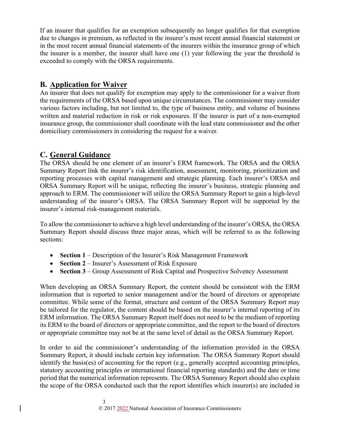If an insurer that qualifies for an exemption subsequently no longer qualifies for that exemption due to changes in premium, as reflected in the insurer's most recent annual financial statement or in the most recent annual financial statements of the insurers within the insurance group of which the insurer is a member, the insurer shall have one (1) year following the year the threshold is exceeded to comply with the ORSA requirements.

## **B. Application for Waiver**

An insurer that does not qualify for exemption may apply to the commissioner for a waiver from the requirements of the ORSA based upon unique circumstances. The commissioner may consider various factors including, but not limited to, the type of business entity, and volume of business written and material reduction in risk or risk exposures. If the insurer is part of a non-exempted insurance group, the commissioner shall coordinate with the lead state commissioner and the other domiciliary commissioners in considering the request for a waiver.

## **C. General Guidance**

The ORSA should be one element of an insurer's ERM framework. The ORSA and the ORSA Summary Report link the insurer's risk identification, assessment, monitoring, prioritization and reporting processes with capital management and strategic planning. Each insurer's ORSA and ORSA Summary Report will be unique, reflecting the insurer's business, strategic planning and approach to ERM. The commissioner will utilize the ORSA Summary Report to gain a high-level understanding of the insurer's ORSA. The ORSA Summary Report will be supported by the insurer's internal risk-management materials.

To allow the commissioner to achieve a high level understanding of the insurer's ORSA, the ORSA Summary Report should discuss three major areas, which will be referred to as the following sections:

- **Section 1**  Description of the Insurer's Risk Management Framework
- **Section 2** Insurer's Assessment of Risk Exposure
- **Section 3**  Group Assessment of Risk Capital and Prospective Solvency Assessment

When developing an ORSA Summary Report, the content should be consistent with the ERM information that is reported to senior management and/or the board of directors or appropriate committee. While some of the format, structure and content of the ORSA Summary Report may be tailored for the regulator, the content should be based on the insurer's internal reporting of its ERM information. The ORSA Summary Report itself does not need to be the medium of reporting its ERM to the board of directors or appropriate committee, and the report to the board of directors or appropriate committee may not be at the same level of detail as the ORSA Summary Report.

In order to aid the commissioner's understanding of the information provided in the ORSA Summary Report, it should include certain key information. The ORSA Summary Report should identify the basis(es) of accounting for the report (e.g., generally accepted accounting principles, statutory accounting principles or international financial reporting standards) and the date or time period that the numerical information represents. The ORSA Summary Report should also explain the scope of the ORSA conducted such that the report identifies which insurer(s) are included in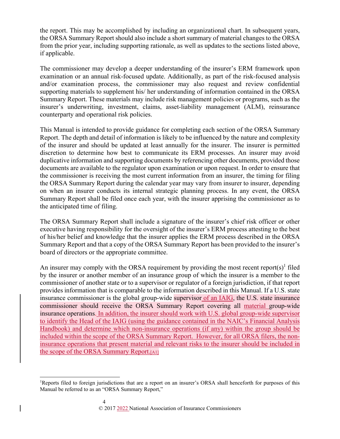the report. This may be accomplished by including an organizational chart. In subsequent years, the ORSA Summary Report should also include a short summary of material changes to the ORSA from the prior year, including supporting rationale, as well as updates to the sections listed above, if applicable.

The commissioner may develop a deeper understanding of the insurer's ERM framework upon examination or an annual risk-focused update. Additionally, as part of the risk-focused analysis and/or examination process, the commissioner may also request and review confidential supporting materials to supplement his/ her understanding of information contained in the ORSA Summary Report. These materials may include risk management policies or programs, such as the insurer's underwriting, investment, claims, asset-liability management (ALM), reinsurance counterparty and operational risk policies.

This Manual is intended to provide guidance for completing each section of the ORSA Summary Report. The depth and detail of information is likely to be influenced by the nature and complexity of the insurer and should be updated at least annually for the insurer. The insurer is permitted discretion to determine how best to communicate its ERM processes. An insurer may avoid duplicative information and supporting documents by referencing other documents, provided those documents are available to the regulator upon examination or upon request. In order to ensure that the commissioner is receiving the most current information from an insurer, the timing for filing the ORSA Summary Report during the calendar year may vary from insurer to insurer, depending on when an insurer conducts its internal strategic planning process. In any event, the ORSA Summary Report shall be filed once each year, with the insurer apprising the commissioner as to the anticipated time of filing.

The ORSA Summary Report shall include a signature of the insurer's chief risk officer or other executive having responsibility for the oversight of the insurer's ERM process attesting to the best of his/her belief and knowledge that the insurer applies the ERM process described in the ORSA Summary Report and that a copy of the ORSA Summary Report has been provided to the insurer's board of directors or the appropriate committee.

An insurer may comply with the ORSA requirement by providing the most recent report(s)<sup>1</sup> filed by the insurer or another member of an insurance group of which the insurer is a member to the commissioner of another state or to a supervisor or regulator of a foreign jurisdiction, if that report provides information that is comparable to the information described in this Manual. If a U.S. state insurance commissioner is the global group-wide supervisor of an IAIG, the U.S. state insurance commissioner should receive the ORSA Summary Report covering all material group-wide insurance operations. In addition, the insurer should work with U.S. global group-wide supervisor to identify the Head of the IAIG (using the guidance contained in the NAIC's Financial Analysis Handbook) and determine which non-insurance operations (if any) within the group should be included within the scope of the ORSA Summary Report. However, for all ORSA filers, the noninsurance operations that present material and relevant risks to the insurer should be included in the scope of the ORSA Summary Report.<sup>[A1]</sup>

<sup>&</sup>lt;sup>1</sup>Reports filed to foreign jurisdictions that are a report on an insurer's ORSA shall henceforth for purposes of this Manual be referred to as an "ORSA Summary Report,"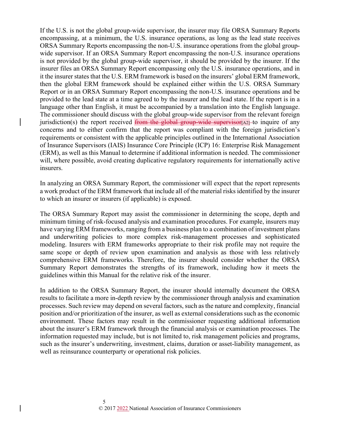If the U.S. is not the global group-wide supervisor, the insurer may file ORSA Summary Reports encompassing, at a minimum, the U.S. insurance operations, as long as the lead state receives ORSA Summary Reports encompassing the non-U.S. insurance operations from the global groupwide supervisor. If an ORSA Summary Report encompassing the non-U.S. insurance operations is not provided by the global group-wide supervisor, it should be provided by the insurer. If the insurer files an ORSA Summary Report encompassing only the U.S. insurance operations, and in it the insurer states that the U.S. ERM framework is based on the insurers' global ERM framework, then the global ERM framework should be explained either within the U.S. ORSA Summary Report or in an ORSA Summary Report encompassing the non-U.S. insurance operations and be provided to the lead state at a time agreed to by the insurer and the lead state. If the report is in a language other than English, it must be accompanied by a translation into the English language. The commissioner should discuss with the global group-wide supervisor from the relevant foreign jurisdiction(s) the report received from the global group-wide supervisor  $|A2|$ -to inquire of any concerns and to either confirm that the report was compliant with the foreign jurisdiction's requirements or consistent with the applicable principles outlined in the International Association of Insurance Supervisors (IAIS) Insurance Core Principle (ICP) 16: Enterprise Risk Management (ERM), as well as this Manual to determine if additional information is needed. The commissioner will, where possible, avoid creating duplicative regulatory requirements for internationally active insurers.

In analyzing an ORSA Summary Report, the commissioner will expect that the report represents a work product of the ERM framework that include all of the material risks identified by the insurer to which an insurer or insurers (if applicable) is exposed.

The ORSA Summary Report may assist the commissioner in determining the scope, depth and minimum timing of risk-focused analysis and examination procedures. For example, insurers may have varying ERM frameworks, ranging from a business plan to a combination of investment plans and underwriting policies to more complex risk-management processes and sophisticated modeling. Insurers with ERM frameworks appropriate to their risk profile may not require the same scope or depth of review upon examination and analysis as those with less relatively comprehensive ERM frameworks. Therefore, the insurer should consider whether the ORSA Summary Report demonstrates the strengths of its framework, including how it meets the guidelines within this Manual for the relative risk of the insurer.

In addition to the ORSA Summary Report, the insurer should internally document the ORSA results to facilitate a more in-depth review by the commissioner through analysis and examination processes. Such review may depend on several factors, such as the nature and complexity, financial position and/or prioritization of the insurer, as well as external considerations such as the economic environment. These factors may result in the commissioner requesting additional information about the insurer's ERM framework through the financial analysis or examination processes. The information requested may include, but is not limited to, risk management policies and programs, such as the insurer's underwriting, investment, claims, duration or asset-liability management, as well as reinsurance counterparty or operational risk policies.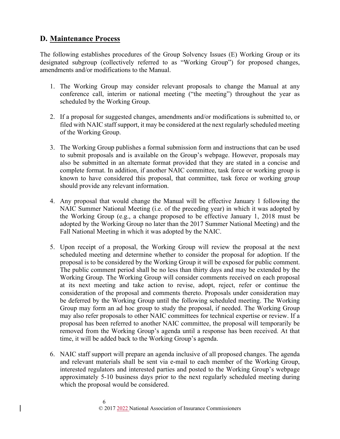## **D. Maintenance Process**

The following establishes procedures of the Group Solvency Issues (E) Working Group or its designated subgroup (collectively referred to as "Working Group") for proposed changes, amendments and/or modifications to the Manual.

- 1. The Working Group may consider relevant proposals to change the Manual at any conference call, interim or national meeting ("the meeting") throughout the year as scheduled by the Working Group.
- 2. If a proposal for suggested changes, amendments and/or modifications is submitted to, or filed with NAIC staff support, it may be considered at the next regularly scheduled meeting of the Working Group.
- 3. The Working Group publishes a formal submission form and instructions that can be used to submit proposals and is available on the Group's webpage. However, proposals may also be submitted in an alternate format provided that they are stated in a concise and complete format. In addition, if another NAIC committee, task force or working group is known to have considered this proposal, that committee, task force or working group should provide any relevant information.
- 4. Any proposal that would change the Manual will be effective January 1 following the NAIC Summer National Meeting (i.e. of the preceding year) in which it was adopted by the Working Group (e.g., a change proposed to be effective January 1, 2018 must be adopted by the Working Group no later than the 2017 Summer National Meeting) and the Fall National Meeting in which it was adopted by the NAIC.
- 5. Upon receipt of a proposal, the Working Group will review the proposal at the next scheduled meeting and determine whether to consider the proposal for adoption. If the proposal is to be considered by the Working Group it will be exposed for public comment. The public comment period shall be no less than thirty days and may be extended by the Working Group. The Working Group will consider comments received on each proposal at its next meeting and take action to revise, adopt, reject, refer or continue the consideration of the proposal and comments thereto. Proposals under consideration may be deferred by the Working Group until the following scheduled meeting. The Working Group may form an ad hoc group to study the proposal, if needed. The Working Group may also refer proposals to other NAIC committees for technical expertise or review. If a proposal has been referred to another NAIC committee, the proposal will temporarily be removed from the Working Group's agenda until a response has been received. At that time, it will be added back to the Working Group's agenda.
- 6. NAIC staff support will prepare an agenda inclusive of all proposed changes. The agenda and relevant materials shall be sent via e-mail to each member of the Working Group, interested regulators and interested parties and posted to the Working Group's webpage approximately 5-10 business days prior to the next regularly scheduled meeting during which the proposal would be considered.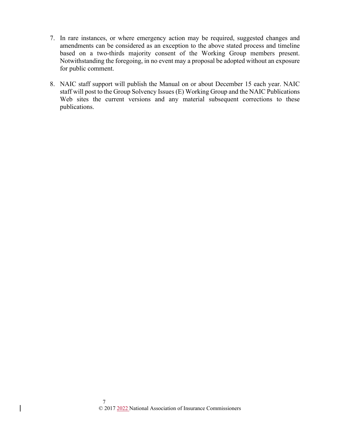- 7. In rare instances, or where emergency action may be required, suggested changes and amendments can be considered as an exception to the above stated process and timeline based on a two-thirds majority consent of the Working Group members present. Notwithstanding the foregoing, in no event may a proposal be adopted without an exposure for public comment.
- 8. NAIC staff support will publish the Manual on or about December 15 each year. NAIC staff will post to the Group Solvency Issues (E) Working Group and the NAIC Publications Web sites the current versions and any material subsequent corrections to these publications.

 $\mathbf{I}$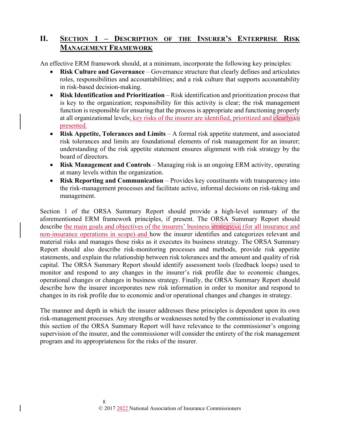# **II. SECTION 1 – DESCRIPTION OF THE INSURER'S ENTERPRISE RISK MANAGEMENT FRAMEWORK**

An effective ERM framework should, at a minimum, incorporate the following key principles:

- **Risk Culture and Governance** Governance structure that clearly defines and articulates roles, responsibilities and accountabilities; and a risk culture that supports accountability in risk-based decision-making.
- **Risk Identification and Prioritization** Risk identification and prioritization process that is key to the organization; responsibility for this activity is clear; the risk management function is responsible for ensuring that the process is appropriate and functioning properly at all organizational levels; key risks of the insurer are identified, prioritized and clearly [A3] presented.
- **Risk Appetite, Tolerances and Limits** A formal risk appetite statement, and associated risk tolerances and limits are foundational elements of risk management for an insurer; understanding of the risk appetite statement ensures alignment with risk strategy by the board of directors.
- **Risk Management and Controls** Managing risk is an ongoing ERM activity, operating at many levels within the organization.
- **Risk Reporting and Communication** Provides key constituents with transparency into the risk-management processes and facilitate active, informal decisions on risk-taking and management.

Section 1 of the ORSA Summary Report should provide a high-level summary of the aforementioned ERM framework principles, if present. The ORSA Summary Report should describe the main goals and objectives of the insurers' business strategy [A41] (for all insurance and non-insurance operations in scope)-and how the insurer identifies and categorizes relevant and material risks and manages those risks as it executes its business strategy. The ORSA Summary Report should also describe risk-monitoring processes and methods, provide risk appetite statements, and explain the relationship between risk tolerances and the amount and quality of risk capital. The ORSA Summary Report should identify assessment tools (feedback loops) used to monitor and respond to any changes in the insurer's risk profile due to economic changes, operational changes or changes in business strategy. Finally, the ORSA Summary Report should describe how the insurer incorporates new risk information in order to monitor and respond to changes in its risk profile due to economic and/or operational changes and changes in strategy.

The manner and depth in which the insurer addresses these principles is dependent upon its own risk-management processes. Any strengths or weaknesses noted by the commissioner in evaluating this section of the ORSA Summary Report will have relevance to the commissioner's ongoing supervision of the insurer, and the commissioner will consider the entirety of the risk management program and its appropriateness for the risks of the insurer.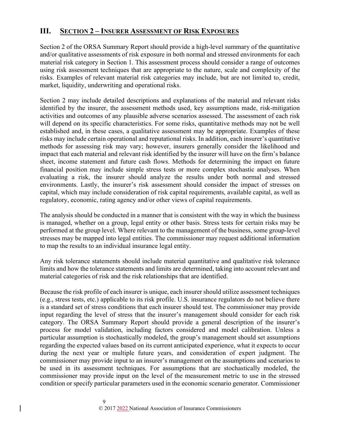## **III. SECTION 2 – INSURER ASSESSMENT OF RISK EXPOSURES**

Section 2 of the ORSA Summary Report should provide a high-level summary of the quantitative and/or qualitative assessments of risk exposure in both normal and stressed environments for each material risk category in Section 1. This assessment process should consider a range of outcomes using risk assessment techniques that are appropriate to the nature, scale and complexity of the risks. Examples of relevant material risk categories may include, but are not limited to, credit, market, liquidity, underwriting and operational risks.

Section 2 may include detailed descriptions and explanations of the material and relevant risks identified by the insurer, the assessment methods used, key assumptions made, risk-mitigation activities and outcomes of any plausible adverse scenarios assessed. The assessment of each risk will depend on its specific characteristics. For some risks, quantitative methods may not be well established and, in these cases, a qualitative assessment may be appropriate. Examples of these risks may include certain operational and reputational risks. In addition, each insurer's quantitative methods for assessing risk may vary; however, insurers generally consider the likelihood and impact that each material and relevant risk identified by the insurer will have on the firm's balance sheet, income statement and future cash flows. Methods for determining the impact on future financial position may include simple stress tests or more complex stochastic analyses. When evaluating a risk, the insurer should analyze the results under both normal and stressed environments. Lastly, the insurer's risk assessment should consider the impact of stresses on capital, which may include consideration of risk capital requirements, available capital, as well as regulatory, economic, rating agency and/or other views of capital requirements.

The analysis should be conducted in a manner that is consistent with the way in which the business is managed, whether on a group, legal entity or other basis. Stress tests for certain risks may be performed at the group level. Where relevant to the management of the business, some group-level stresses may be mapped into legal entities. The commissioner may request additional information to map the results to an individual insurance legal entity.

Any risk tolerance statements should include material quantitative and qualitative risk tolerance limits and how the tolerance statements and limits are determined, taking into account relevant and material categories of risk and the risk relationships that are identified.

Because the risk profile of each insurer is unique, each insurer should utilize assessment techniques (e.g., stress tests, etc.) applicable to its risk profile. U.S. insurance regulators do not believe there is a standard set of stress conditions that each insurer should test. The commissioner may provide input regarding the level of stress that the insurer's management should consider for each risk category. The ORSA Summary Report should provide a general description of the insurer's process for model validation, including factors considered and model calibration. Unless a particular assumption is stochastically modeled, the group's management should set assumptions regarding the expected values based on its current anticipated experience, what it expects to occur during the next year or multiple future years, and consideration of expert judgment. The commissioner may provide input to an insurer's management on the assumptions and scenarios to be used in its assessment techniques. For assumptions that are stochastically modeled, the commissioner may provide input on the level of the measurement metric to use in the stressed condition or specify particular parameters used in the economic scenario generator. Commissioner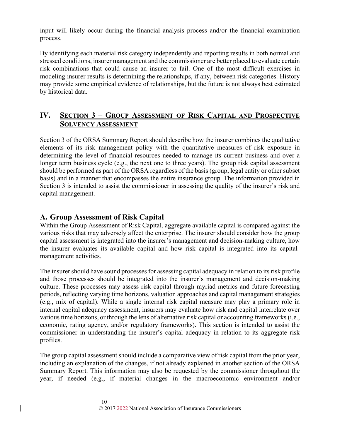input will likely occur during the financial analysis process and/or the financial examination process.

By identifying each material risk category independently and reporting results in both normal and stressed conditions, insurer management and the commissioner are better placed to evaluate certain risk combinations that could cause an insurer to fail. One of the most difficult exercises in modeling insurer results is determining the relationships, if any, between risk categories. History may provide some empirical evidence of relationships, but the future is not always best estimated by historical data.

# **IV. SECTION 3 – GROUP ASSESSMENT OF RISK CAPITAL AND PROSPECTIVE SOLVENCY ASSESSMENT**

Section 3 of the ORSA Summary Report should describe how the insurer combines the qualitative elements of its risk management policy with the quantitative measures of risk exposure in determining the level of financial resources needed to manage its current business and over a longer term business cycle (e.g., the next one to three years). The group risk capital assessment should be performed as part of the ORSA regardless of the basis (group, legal entity or other subset basis) and in a manner that encompasses the entire insurance group. The information provided in Section 3 is intended to assist the commissioner in assessing the quality of the insurer's risk and capital management.

# **A. Group Assessment of Risk Capital**

Within the Group Assessment of Risk Capital, aggregate available capital is compared against the various risks that may adversely affect the enterprise. The insurer should consider how the group capital assessment is integrated into the insurer's management and decision-making culture, how the insurer evaluates its available capital and how risk capital is integrated into its capitalmanagement activities.

The insurer should have sound processes for assessing capital adequacy in relation to its risk profile and those processes should be integrated into the insurer's management and decision-making culture. These processes may assess risk capital through myriad metrics and future forecasting periods, reflecting varying time horizons, valuation approaches and capital management strategies (e.g., mix of capital). While a single internal risk capital measure may play a primary role in internal capital adequacy assessment, insurers may evaluate how risk and capital interrelate over various time horizons, or through the lens of alternative risk capital or accounting frameworks (i.e., economic, rating agency, and/or regulatory frameworks). This section is intended to assist the commissioner in understanding the insurer's capital adequacy in relation to its aggregate risk profiles.

The group capital assessment should include a comparative view of risk capital from the prior year, including an explanation of the changes, if not already explained in another section of the ORSA Summary Report. This information may also be requested by the commissioner throughout the year, if needed (e.g., if material changes in the macroeconomic environment and/or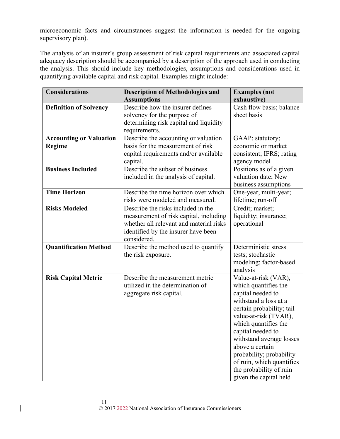microeconomic facts and circumstances suggest the information is needed for the ongoing supervisory plan).

The analysis of an insurer's group assessment of risk capital requirements and associated capital adequacy description should be accompanied by a description of the approach used in conducting the analysis. This should include key methodologies, assumptions and considerations used in quantifying available capital and risk capital. Examples might include:

| <b>Considerations</b>          | <b>Description of Methodologies and</b> | <b>Examples</b> (not       |
|--------------------------------|-----------------------------------------|----------------------------|
|                                | <b>Assumptions</b>                      | exhaustive)                |
| <b>Definition of Solvency</b>  | Describe how the insurer defines        | Cash flow basis; balance   |
|                                | solvency for the purpose of             | sheet basis                |
|                                | determining risk capital and liquidity  |                            |
|                                | requirements.                           |                            |
| <b>Accounting or Valuation</b> | Describe the accounting or valuation    | GAAP; statutory;           |
| Regime                         | basis for the measurement of risk       | economic or market         |
|                                | capital requirements and/or available   | consistent; IFRS; rating   |
|                                | capital.                                | agency model               |
| <b>Business Included</b>       | Describe the subset of business         | Positions as of a given    |
|                                | included in the analysis of capital.    | valuation date; New        |
|                                |                                         | business assumptions       |
| <b>Time Horizon</b>            | Describe the time horizon over which    | One-year, multi-year;      |
|                                | risks were modeled and measured.        | lifetime; run-off          |
| <b>Risks Modeled</b>           | Describe the risks included in the      | Credit; market;            |
|                                | measurement of risk capital, including  | liquidity; insurance;      |
|                                | whether all relevant and material risks | operational                |
|                                | identified by the insurer have been     |                            |
|                                | considered.                             |                            |
| <b>Quantification Method</b>   | Describe the method used to quantify    | Deterministic stress       |
|                                | the risk exposure.                      | tests; stochastic          |
|                                |                                         | modeling; factor-based     |
|                                |                                         | analysis                   |
| <b>Risk Capital Metric</b>     | Describe the measurement metric         | Value-at-risk (VAR),       |
|                                | utilized in the determination of        | which quantifies the       |
|                                | aggregate risk capital.                 | capital needed to          |
|                                |                                         | withstand a loss at a      |
|                                |                                         | certain probability; tail- |
|                                |                                         | value-at-risk (TVAR),      |
|                                |                                         | which quantifies the       |
|                                |                                         | capital needed to          |
|                                |                                         | withstand average losses   |
|                                |                                         | above a certain            |
|                                |                                         | probability; probability   |
|                                |                                         | of ruin, which quantifies  |
|                                |                                         | the probability of ruin    |
|                                |                                         | given the capital held     |

 $\overline{\phantom{a}}$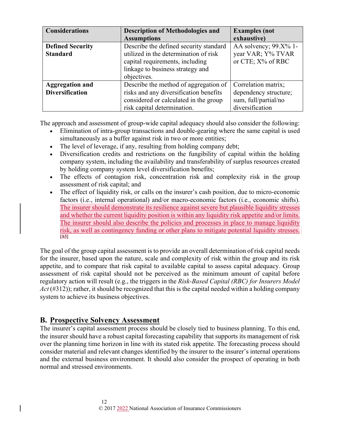| <b>Considerations</b>   | <b>Description of Methodologies and</b> | <b>Examples</b> (not  |
|-------------------------|-----------------------------------------|-----------------------|
|                         | <b>Assumptions</b>                      | exhaustive)           |
| <b>Defined Security</b> | Describe the defined security standard  | AA solvency; 99.X% 1- |
| <b>Standard</b>         | utilized in the determination of risk   | year VAR; Y% TVAR     |
|                         | capital requirements, including         | or CTE; X% of RBC     |
|                         | linkage to business strategy and        |                       |
|                         | objectives.                             |                       |
| <b>Aggregation and</b>  | Describe the method of aggregation of   | Correlation matrix;   |
| <b>Diversification</b>  | risks and any diversification benefits  | dependency structure; |
|                         | considered or calculated in the group   | sum, full/partial/no  |
|                         | risk capital determination.             | diversification       |

The approach and assessment of group-wide capital adequacy should also consider the following:

- Elimination of intra-group transactions and double-gearing where the same capital is used simultaneously as a buffer against risk in two or more entities;
- The level of leverage, if any, resulting from holding company debt;
- Diversification credits and restrictions on the fungibility of capital within the holding company system, including the availability and transferability of surplus resources created by holding company system level diversification benefits;
- The effects of contagion risk, concentration risk and complexity risk in the group assessment of risk capital; and
- The effect of liquidity risk, or calls on the insurer's cash position, due to micro-economic factors (i.e., internal operational) and/or macro-economic factors (i.e., economic shifts). The insurer should demonstrate its resilience against severe but plausible liquidity stresses and whether the current liquidity position is within any liquidity risk appetite and/or limits. The insurer should also describe the policies and processes in place to manage liquidity risk, as well as contingency funding or other plans to mitigate potential liquidity stresses. [A5]

The goal of the group capital assessment is to provide an overall determination of risk capital needs for the insurer, based upon the nature, scale and complexity of risk within the group and its risk appetite, and to compare that risk capital to available capital to assess capital adequacy. Group assessment of risk capital should not be perceived as the minimum amount of capital before regulatory action will result (e.g., the triggers in the *Risk-Based Capital (RBC) for Insurers Model Act* (#312)); rather, it should be recognized that this is the capital needed within a holding company system to achieve its business objectives.

## **B. Prospective Solvency Assessment**

The insurer's capital assessment process should be closely tied to business planning. To this end, the insurer should have a robust capital forecasting capability that supports its management of risk over the planning time horizon in line with its stated risk appetite. The forecasting process should consider material and relevant changes identified by the insurer to the insurer's internal operations and the external business environment. It should also consider the prospect of operating in both normal and stressed environments.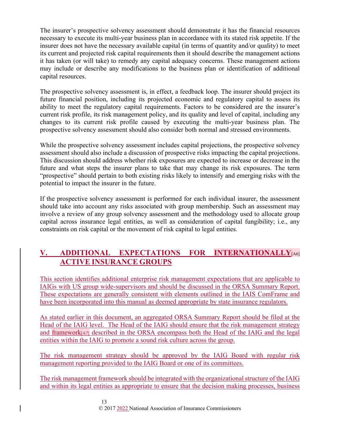The insurer's prospective solvency assessment should demonstrate it has the financial resources necessary to execute its multi-year business plan in accordance with its stated risk appetite. If the insurer does not have the necessary available capital (in terms of quantity and/or quality) to meet its current and projected risk capital requirements then it should describe the management actions it has taken (or will take) to remedy any capital adequacy concerns. These management actions may include or describe any modifications to the business plan or identification of additional capital resources.

The prospective solvency assessment is, in effect, a feedback loop. The insurer should project its future financial position, including its projected economic and regulatory capital to assess its ability to meet the regulatory capital requirements. Factors to be considered are the insurer's current risk profile, its risk management policy, and its quality and level of capital, including any changes to its current risk profile caused by executing the multi-year business plan. The prospective solvency assessment should also consider both normal and stressed environments.

While the prospective solvency assessment includes capital projections, the prospective solvency assessment should also include a discussion of prospective risks impacting the capital projections. This discussion should address whether risk exposures are expected to increase or decrease in the future and what steps the insurer plans to take that may change its risk exposures. The term "prospective" should pertain to both existing risks likely to intensify and emerging risks with the potential to impact the insurer in the future.

If the prospective solvency assessment is performed for each individual insurer, the assessment should take into account any risks associated with group membership. Such an assessment may involve a review of any group solvency assessment and the methodology used to allocate group capital across insurance legal entities, as well as consideration of capital fungibility; i.e., any constraints on risk capital or the movement of risk capital to legal entities.

# **V. ADDITIONAL EXPECTATIONS FOR INTERNATIONALLY**[A6] **ACTIVE INSURANCE GROUPS**

This section identifies additional enterprise risk management expectations that are applicable to IAIGs with US group wide-supervisors and should be discussed in the ORSA Summary Report. These expectations are generally consistent with elements outlined in the IAIS ComFrame and have been incorporated into this manual as deemed appropriate by state insurance regulators.

As stated earlier in this document, an aggregated ORSA Summary Report should be filed at the Head of the IAIG level. The Head of the IAIG should ensure that the risk management strategy and framework[A7] described in the ORSA encompass both the Head of the IAIG and the legal entities within the IAIG to promote a sound risk culture across the group.

The risk management strategy should be approved by the IAIG Board with regular risk management reporting provided to the IAIG Board or one of its committees.

The risk management framework should be integrated with the organizational structure of the IAIG and within its legal entities as appropriate to ensure that the decision making processes, business

13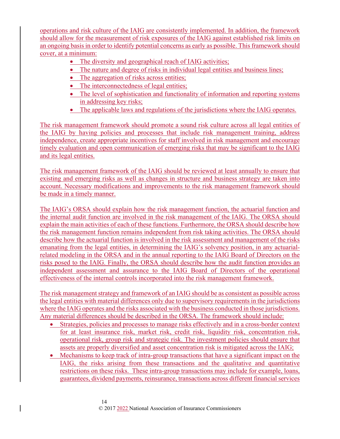operations and risk culture of the IAIG are consistently implemented. In addition, the framework should allow for the measurement of risk exposures of the IAIG against established risk limits on an ongoing basis in order to identify potential concerns as early as possible. This framework should cover, at a minimum:

- The diversity and geographical reach of IAIG activities;
- The nature and degree of risks in individual legal entities and business lines;
- The aggregation of risks across entities;
- The interconnectedness of legal entities;
- The level of sophistication and functionality of information and reporting systems in addressing key risks;
- The applicable laws and regulations of the jurisdictions where the IAIG operates.

The risk management framework should promote a sound risk culture across all legal entities of the IAIG by having policies and processes that include risk management training, address independence, create appropriate incentives for staff involved in risk management and encourage timely evaluation and open communication of emerging risks that may be significant to the IAIG and its legal entities.

The risk management framework of the IAIG should be reviewed at least annually to ensure that existing and emerging risks as well as changes in structure and business strategy are taken into account. Necessary modifications and improvements to the risk management framework should be made in a timely manner.

The IAIG's ORSA should explain how the risk management function, the actuarial function and the internal audit function are involved in the risk management of the IAIG. The ORSA should explain the main activities of each of these functions. Furthermore, the ORSA should describe how the risk management function remains independent from risk taking activities. The ORSA should describe how the actuarial function is involved in the risk assessment and management of the risks emanating from the legal entities, in determining the IAIG's solvency position, in any actuarialrelated modeling in the ORSA and in the annual reporting to the IAIG Board of Directors on the risks posed to the IAIG. Finally, the ORSA should describe how the audit function provides an independent assessment and assurance to the IAIG Board of Directors of the operational effectiveness of the internal controls incorporated into the risk management framework.

The risk management strategy and framework of an IAIG should be as consistent as possible across the legal entities with material differences only due to supervisory requirements in the jurisdictions where the IAIG operates and the risks associated with the business conducted in those jurisdictions. Any material differences should be described in the ORSA. The framework should include:

- Strategies, policies and processes to manage risks effectively and in a cross-border context for at least insurance risk, market risk, credit risk, liquidity risk, concentration risk, operational risk, group risk and strategic risk. The investment policies should ensure that assets are properly diversified and asset concentration risk is mitigated across the IAIG;
- Mechanisms to keep track of intra-group transactions that have a significant impact on the IAIG, the risks arising from these transactions and the qualitative and quantitative restrictions on these risks. These intra-group transactions may include for example, loans, guarantees, dividend payments, reinsurance, transactions across different financial services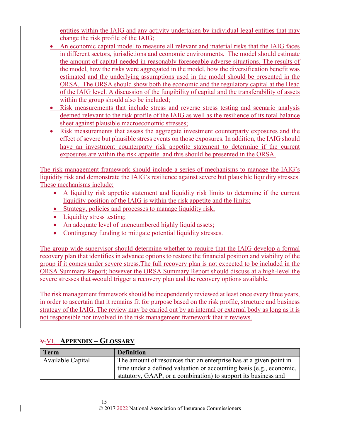entities within the IAIG and any activity undertaken by individual legal entities that may change the risk profile of the IAIG;

- An economic capital model to measure all relevant and material risks that the IAIG faces in different sectors, jurisdictions and economic environments. The model should estimate the amount of capital needed in reasonably foreseeable adverse situations. The results of the model, how the risks were aggregated in the model, how the diversification benefit was estimated and the underlying assumptions used in the model should be presented in the ORSA. The ORSA should show both the economic and the regulatory capital at the Head of the IAIG level. A discussion of the fungibility of capital and the transferability of assets within the group should also be included;
- Risk measurements that include stress and reverse stress testing and scenario analysis deemed relevant to the risk profile of the IAIG as well as the resilience of its total balance sheet against plausible macroeconomic stresses;
- Risk measurements that assess the aggregate investment counterparty exposures and the effect of severe but plausible stress events on those exposures. In addition, the IAIG should have an investment counterparty risk appetite statement to determine if the current exposures are within the risk appetite and this should be presented in the ORSA.

The risk management framework should include a series of mechanisms to manage the IAIG's liquidity risk and demonstrate the IAIG's resilience against severe but plausible liquidity stresses. These mechanisms include:

- A liquidity risk appetite statement and liquidity risk limits to determine if the current liquidity position of the IAIG is within the risk appetite and the limits;
- Strategy, policies and processes to manage liquidity risk;
- Liquidity stress testing;
- An adequate level of unencumbered highly liquid assets;
- Contingency funding to mitigate potential liquidity stresses.

The group-wide supervisor should determine whether to require that the IAIG develop a formal recovery plan that identifies in advance options to restore the financial position and viability of the group if it comes under severe stress.The full recovery plan is not expected to be included in the ORSA Summary Report; however the ORSA Summary Report should discuss at a high-level the severe stresses that we could trigger a recovery plan and the recovery options available.

The risk management framework should be independently reviewed at least once every three years, in order to ascertain that it remains fit for purpose based on the risk profile, structure and business strategy of the IAIG. The review may be carried out by an internal or external body as long as it is not responsible nor involved in the risk management framework that it reviews.

| <b>Term</b>       | <b>Definition</b>                                                   |
|-------------------|---------------------------------------------------------------------|
| Available Capital | The amount of resources that an enterprise has at a given point in  |
|                   | time under a defined valuation or accounting basis (e.g., economic, |
|                   | statutory, GAAP, or a combination) to support its business and      |

# V.VI. **APPENDIX – GLOSSARY**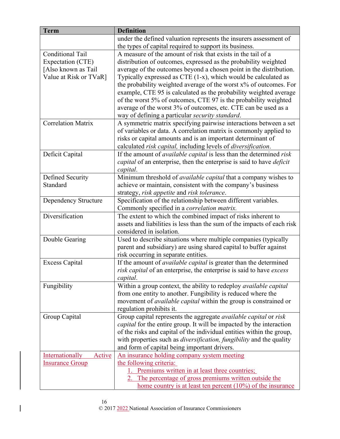| <b>Term</b>               | <b>Definition</b>                                                                                                                                            |  |
|---------------------------|--------------------------------------------------------------------------------------------------------------------------------------------------------------|--|
|                           | under the defined valuation represents the insurers assessment of                                                                                            |  |
|                           | the types of capital required to support its business.                                                                                                       |  |
| <b>Conditional Tail</b>   | A measure of the amount of risk that exists in the tail of a                                                                                                 |  |
| <b>Expectation (CTE)</b>  | distribution of outcomes, expressed as the probability weighted                                                                                              |  |
| [Also known as Tail       | average of the outcomes beyond a chosen point in the distribution.                                                                                           |  |
| Value at Risk or TVaR]    | Typically expressed as CTE (1-x), which would be calculated as                                                                                               |  |
|                           | the probability weighted average of the worst x% of outcomes. For                                                                                            |  |
|                           | example, CTE 95 is calculated as the probability weighted average                                                                                            |  |
|                           | of the worst 5% of outcomes, CTE 97 is the probability weighted                                                                                              |  |
|                           | average of the worst 3% of outcomes, etc. CTE can be used as a                                                                                               |  |
|                           | way of defining a particular security standard.                                                                                                              |  |
| <b>Correlation Matrix</b> | A symmetric matrix specifying pairwise interactions between a set                                                                                            |  |
|                           | of variables or data. A correlation matrix is commonly applied to                                                                                            |  |
|                           | risks or capital amounts and is an important determinant of                                                                                                  |  |
| Deficit Capital           | calculated risk capital, including levels of diversification.                                                                                                |  |
|                           | If the amount of <i>available capital</i> is less than the determined <i>risk</i>                                                                            |  |
|                           | capital of an enterprise, then the enterprise is said to have deficit<br>capital.                                                                            |  |
| Defined Security          | Minimum threshold of <i>available capital</i> that a company wishes to                                                                                       |  |
| Standard                  | achieve or maintain, consistent with the company's business                                                                                                  |  |
|                           | strategy, risk appetite and risk tolerance.                                                                                                                  |  |
| Dependency Structure      | Specification of the relationship between different variables.                                                                                               |  |
|                           | Commonly specified in a <i>correlation matrix</i> .                                                                                                          |  |
| Diversification           | The extent to which the combined impact of risks inherent to                                                                                                 |  |
|                           | assets and liabilities is less than the sum of the impacts of each risk                                                                                      |  |
|                           | considered in isolation.                                                                                                                                     |  |
| Double Gearing            | Used to describe situations where multiple companies (typically                                                                                              |  |
|                           | parent and subsidiary) are using shared capital to buffer against                                                                                            |  |
|                           | risk occurring in separate entities.                                                                                                                         |  |
| <b>Excess Capital</b>     | If the amount of <i>available capital</i> is greater than the determined                                                                                     |  |
|                           | risk capital of an enterprise, the enterprise is said to have excess                                                                                         |  |
|                           | capital.                                                                                                                                                     |  |
| Fungibility               | Within a group context, the ability to redeploy available capital                                                                                            |  |
|                           | from one entity to another. Fungibility is reduced where the                                                                                                 |  |
|                           | movement of available capital within the group is constrained or                                                                                             |  |
|                           | regulation prohibits it.                                                                                                                                     |  |
| Group Capital             | Group capital represents the aggregate available capital or risk                                                                                             |  |
|                           | <i>capital</i> for the entire group. It will be impacted by the interaction                                                                                  |  |
|                           | of the risks and capital of the individual entities within the group,<br>with properties such as <i>diversification</i> , <i>fungibility</i> and the quality |  |
|                           | and form of capital being important drivers.                                                                                                                 |  |
| Internationally<br>Active |                                                                                                                                                              |  |
| <b>Insurance Group</b>    | An insurance holding company system meeting<br>the following criteria:                                                                                       |  |
|                           | 1. Premiums written in at least three countries;                                                                                                             |  |
|                           | The percentage of gross premiums written outside the                                                                                                         |  |
|                           | home country is at least ten percent $(10\%)$ of the insurance                                                                                               |  |

 $\mathsf I$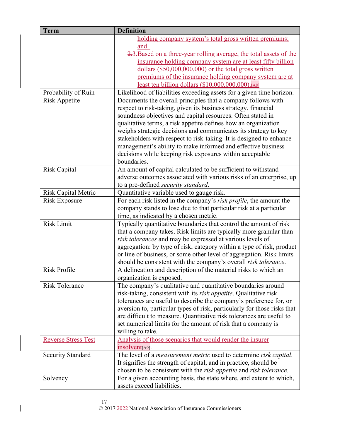| Term                       | <b>Definition</b>                                                        |
|----------------------------|--------------------------------------------------------------------------|
|                            | holding company system's total gross written premiums;                   |
|                            | and                                                                      |
|                            | 2.3. Based on a three-year rolling average, the total assets of the      |
|                            | insurance holding company system are at least fifty billion              |
|                            | dollars (\$50,000,000,000) or the total gross written                    |
|                            | premiums of the insurance holding company system are at                  |
|                            | least ten billion dollars (\$10,000,000,000).                            |
| Probability of Ruin        | Likelihood of liabilities exceeding assets for a given time horizon.     |
| <b>Risk Appetite</b>       | Documents the overall principles that a company follows with             |
|                            | respect to risk-taking, given its business strategy, financial           |
|                            | soundness objectives and capital resources. Often stated in              |
|                            | qualitative terms, a risk appetite defines how an organization           |
|                            | weighs strategic decisions and communicates its strategy to key          |
|                            | stakeholders with respect to risk-taking. It is designed to enhance      |
|                            | management's ability to make informed and effective business             |
|                            | decisions while keeping risk exposures within acceptable                 |
|                            | boundaries.                                                              |
| <b>Risk Capital</b>        | An amount of capital calculated to be sufficient to withstand            |
|                            | adverse outcomes associated with various risks of an enterprise, up      |
|                            | to a pre-defined security standard.                                      |
| Risk Capital Metric        | Quantitative variable used to gauge risk.                                |
| <b>Risk Exposure</b>       | For each risk listed in the company's risk profile, the amount the       |
|                            | company stands to lose due to that particular risk at a particular       |
|                            | time, as indicated by a chosen metric.                                   |
| <b>Risk Limit</b>          | Typically quantitative boundaries that control the amount of risk        |
|                            | that a company takes. Risk limits are typically more granular than       |
|                            | risk tolerances and may be expressed at various levels of                |
|                            | aggregation: by type of risk, category within a type of risk, product    |
|                            | or line of business, or some other level of aggregation. Risk limits     |
|                            | should be consistent with the company's overall risk tolerance.          |
| <b>Risk Profile</b>        | A delineation and description of the material risks to which an          |
|                            | organization is exposed.                                                 |
| <b>Risk Tolerance</b>      | The company's qualitative and quantitative boundaries around             |
|                            | risk-taking, consistent with its risk appetite. Qualitative risk         |
|                            | tolerances are useful to describe the company's preference for, or       |
|                            | aversion to, particular types of risk, particularly for those risks that |
|                            | are difficult to measure. Quantitative risk tolerances are useful to     |
|                            | set numerical limits for the amount of risk that a company is            |
|                            | willing to take.                                                         |
| <b>Reverse Stress Test</b> | Analysis of those scenarios that would render the insurer                |
|                            | insolvent <sub>[A9]</sub> .                                              |
| <b>Security Standard</b>   | The level of a <i>measurement metric</i> used to determine risk capital. |
|                            | It signifies the strength of capital, and in practice, should be         |
|                            | chosen to be consistent with the risk appetite and risk tolerance.       |
| Solvency                   | For a given accounting basis, the state where, and extent to which,      |
|                            | assets exceed liabilities.                                               |

 $\mathcal{L}_{\mathcal{A}}$ 

<sup>© 2017 2022</sup> National Association of Insurance Commissioners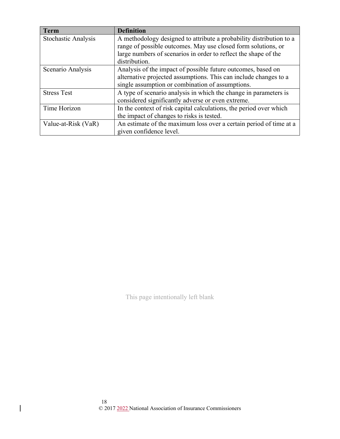| <b>Term</b>         | <b>Definition</b>                                                   |
|---------------------|---------------------------------------------------------------------|
| Stochastic Analysis | A methodology designed to attribute a probability distribution to a |
|                     | range of possible outcomes. May use closed form solutions, or       |
|                     | large numbers of scenarios in order to reflect the shape of the     |
|                     | distribution.                                                       |
| Scenario Analysis   | Analysis of the impact of possible future outcomes, based on        |
|                     | alternative projected assumptions. This can include changes to a    |
|                     | single assumption or combination of assumptions.                    |
| <b>Stress Test</b>  | A type of scenario analysis in which the change in parameters is    |
|                     | considered significantly adverse or even extreme.                   |
| Time Horizon        | In the context of risk capital calculations, the period over which  |
|                     | the impact of changes to risks is tested.                           |
| Value-at-Risk (VaR) | An estimate of the maximum loss over a certain period of time at a  |
|                     | given confidence level.                                             |

This page intentionally left blank

 $\mathcal{L}_{\mathcal{A}}$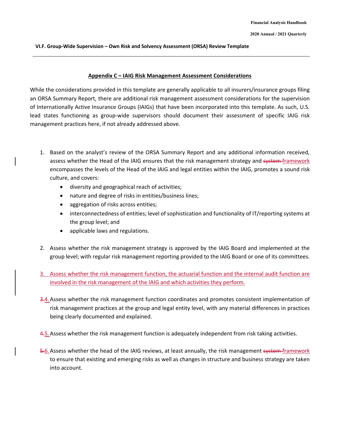#### **VI.F. Group‐Wide Supervision – Own Risk and Solvency Assessment (ORSA) Review Template**

#### **Appendix C – IAIG Risk Management Assessment Considerations**

While the considerations provided in this template are generally applicable to all insurers/insurance groups filing an ORSA Summary Report, there are additional risk management assessment considerations for the supervision of Internationally Active Insurance Groups (IAIGs) that have been incorporated into this template. As such, U.S. lead states functioning as group-wide supervisors should document their assessment of specific IAIG risk management practices here, if not already addressed above.

- 1. Based on the analyst's review of the ORSA Summary Report and any additional information received, assess whether the Head of the IAIG ensures that the risk management strategy and system framework encompasses the levels of the Head of the IAIG and legal entities within the IAIG, promotes a sound risk culture, and covers:
	- diversity and geographical reach of activities;
	- nature and degree of risks in entities/business lines;
	- aggregation of risks across entities;
	- interconnectedness of entities; level of sophistication and functionality of IT/reporting systems at the group level; and
	- applicable laws and regulations.
- 2. Assess whether the risk management strategy is approved by the IAIG Board and implemented at the group level; with regular risk management reporting provided to the IAIG Board or one of its committees.
- 3. Assess whether the risk management function, the actuarial function and the internal audit function are involved in the risk management of the IAIG and which activities they perform.
- 3.4.Assess whether the risk management function coordinates and promotes consistent implementation of risk management practices at the group and legal entity level, with any material differences in practices being clearly documented and explained.
- 4.5. Assess whether the risk management function is adequately independent from risk taking activities.
- 5.6. Assess whether the head of the IAIG reviews, at least annually, the risk management system framework to ensure that existing and emerging risks as well as changes in structure and business strategy are taken into account.